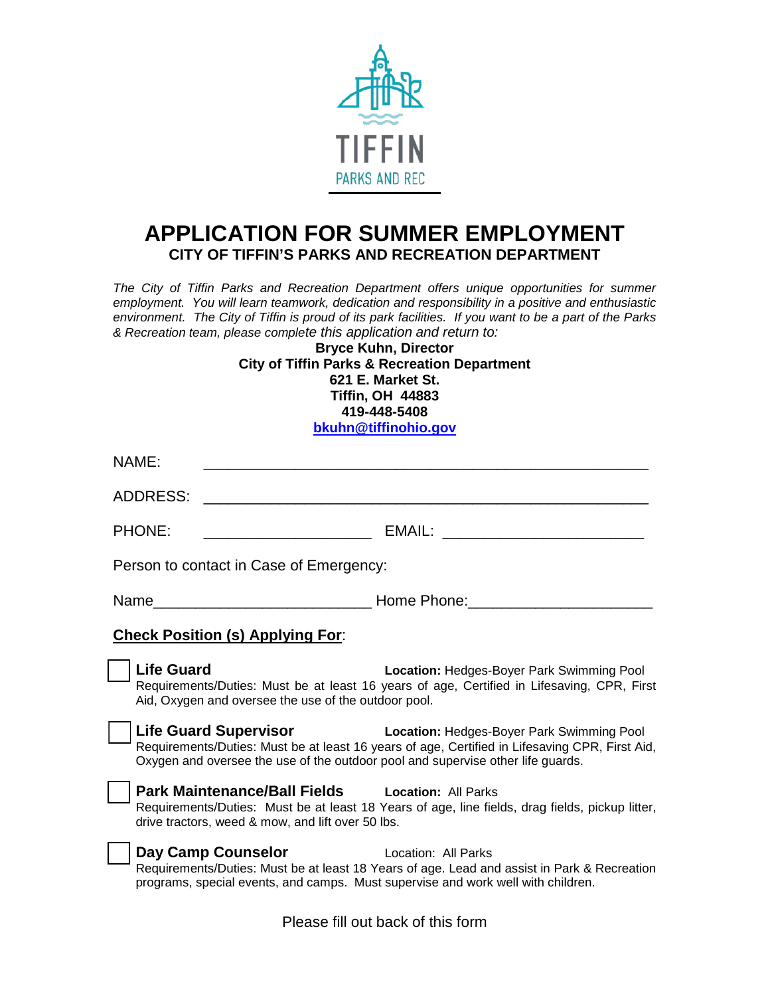

## **APPLICATION FOR SUMMER EMPLOYMENT CITY OF TIFFIN'S PARKS AND RECREATION DEPARTMENT**

*The City of Tiffin Parks and Recreation Department offers unique opportunities for summer employment. You will learn teamwork, dedication and responsibility in a positive and enthusiastic environment. The City of Tiffin is proud of its park facilities. If you want to be a part of the Parks & Recreation team, please complete this application and return to:*

**Bryce Kuhn, Director City of Tiffin Parks & Recreation Department 621 E. Market St. Tiffin, OH 44883 419-448-5408 [bkuhn@tiffinohio.gov](mailto:bkuhn@tiffinohio.gov)**

| NAME:                                                                                                  |                                                                                                                                                                          |  |
|--------------------------------------------------------------------------------------------------------|--------------------------------------------------------------------------------------------------------------------------------------------------------------------------|--|
| <b>ADDRESS:</b>                                                                                        |                                                                                                                                                                          |  |
| <b>PHONE:</b>                                                                                          |                                                                                                                                                                          |  |
| Person to contact in Case of Emergency:                                                                |                                                                                                                                                                          |  |
|                                                                                                        |                                                                                                                                                                          |  |
| <b>Check Position (s) Applying For:</b>                                                                |                                                                                                                                                                          |  |
| <b>Life Guard</b><br>Aid, Oxygen and oversee the use of the outdoor pool.                              | <b>Location: Hedges-Boyer Park Swimming Pool</b><br>Requirements/Duties: Must be at least 16 years of age, Certified in Lifesaving, CPR, First                           |  |
| Oxygen and oversee the use of the outdoor pool and supervise other life guards.                        | <b>Life Guard Supervisor Location: Hedges-Boyer Park Swimming Pool</b><br>Requirements/Duties: Must be at least 16 years of age, Certified in Lifesaving CPR, First Aid, |  |
| Park Maintenance/Ball Fields Location: All Parks<br>drive tractors, weed & mow, and lift over 50 lbs.  | Requirements/Duties: Must be at least 18 Years of age, line fields, drag fields, pickup litter,                                                                          |  |
| Day Camp Counselor<br>programs, special events, and camps. Must supervise and work well with children. | <b>Example 2018</b> Location: All Parks<br>Requirements/Duties: Must be at least 18 Years of age. Lead and assist in Park & Recreation                                   |  |
| Please fill out back of this form                                                                      |                                                                                                                                                                          |  |